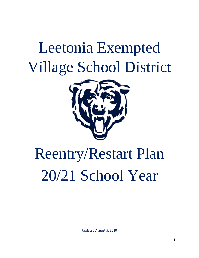## Leetonia Exempted Village School District



# Reentry/Restart Plan 20/21 School Year

Updated August 5, 2020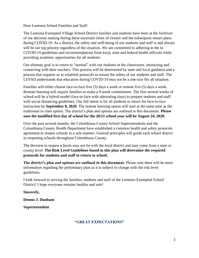Dear Leetonia School Families and Staff:

The Leetonia Exempted Village School District families and students have been at the forefront of our decision making during these uncertain times of closure and the subsequent restart plans during COVID-19. As a district, the safety and well-being of our students and staff is and always will be our top priority regardless of the situation. We are committed to adhering to the to COVID-19 guidelines and recommendations from local, state and federal health officials while providing academic opportunities for all students.

Our ultimate goal is to return to "normal" with our students in the classrooms, interacting and connecting with their teachers. This process will be determined by state and local guidance and a process that requires us to establish protocols to ensure the safety of our students and staff. The LEVSD understands that education during COVID-19 may not be a one-size fits all situation.

Families will either choose face-to-face five (5) days a week or remote five (5) days a week. Remote learning will require families to make a 9-week commitment. The first several weeks of school will be a hybrid model (face-to-face with alternating days) to prepare students and staff with social distancing guidelines. Our full intent is for all students to return for face-to-face instruction by **September 8, 2020**. The remote learning option will start at the same time as the traditional in class option. The district's plan and options are outlined in this document. **Please note the modified first day of school for the 20/21 school year will be August 24, 2020.**

Over the past several months, the Columbiana County School Superintendents and the Columbiana County Health Department have established a common health and safety protocols agreement to reopen schools in a safe manner. General principles will guide each school district in reopening schools throughout Columbiana County.

The decision to reopen schools may not lie with the local district and may come from a state or county level. **The Risk Level Guidelines found in this plan will determine the required protocols for students and staff to return to school.** 

**The district's plan and options are outlined in this document**. Please note there will be more information regarding the preliminary plan as it is subject to change with the risk level guidelines.

I look forward to serving the families, students and staff of the Leetonia Exempted School District! I hope everyone remains healthy and safe!

**Sincerely,**

**Dennis J. Dunham**

**Superintendent**

#### **"GREAT EXPECTATIONS"**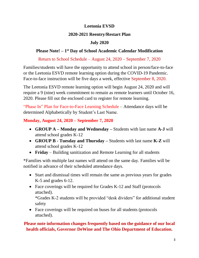## **Leetonia EVSD**

## **2020-2021 Reentry/Restart Plan**

## **July 2020**

## **Please Note! – 1 st Day of School Academic Calendar Modification**

Return to School Schedule – August 24, 2020 – September 7, 2020

Families/students will have the opportunity to attend school in person/face-to-face or the Leetonia ESVD remote learning option during the COVID-19 Pandemic. Face-to-face instruction will be five days a week, effective September 8, 2020.

The Leetonia ESVD remote learning option will begin August 24, 2020 and will require a 9 (nine) week commitment to remain as remote learners until October 16, 2020. Please fill out the enclosed card to register for remote learning.

"Phase In" Plan for Face-to-Face Learning Schedule – Attendance days will be determined Alphabetically by Student's Last Name.

## **Monday, August 24, 2020 – September 7, 2020**

- **GROUP A – Monday and Wednesday –** Students with last name **A-J** will attend school grades K-12
- **GROUP B - Tuesday and Thursday –** Students with last name **K-Z** will attend school grades K-12
- **Friday** Building sanitization and Remote Learning for all students

\*Families with multiple last names will attend on the same day. Families will be notified in advance of their scheduled attendance days.

- Start and dismissal times will remain the same as previous years for grades K-5 and grades 6-12.
- Face coverings will be required for Grades K-12 and Staff (protocols attached).

\*Grades K-2 students will be provided "desk dividers" for additional student safety

• Face coverings will be required on buses for all students (protocols attached).

## **Please note information changes frequently based on the guidance of our local health officials, Governor DeWine and The Ohio Department of Education.**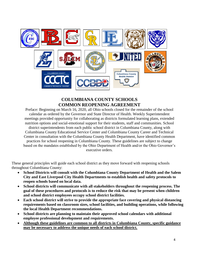

## **COLUMBIANA COUNTY SCHOOLS COMMON REOPENING AGREEMENT**

Preface: Beginning on March 16, 2020, all Ohio schools closed for the remainder of the school calendar as ordered by the Governor and State Director of Health. Weekly Superintendent meetings provided opportunity for collaborating as districts formulated learning plans, extended nutrition options and social-emotional support for their students, staff and communities. School district superintendents from each public school district in Columbiana County, along with Columbiana County Educational Service Center and Columbiana County Career and Technical Center in consultation with the Columbiana County Health Department, have identified common practices for school reopening in Columbiana County. These guidelines are subject to change based on the mandates established by the Ohio Department of Health and/or the Ohio Governor's executive orders.

These general principles will guide each school district as they move forward with reopening schools throughout Columbiana County:

- **School Districts will consult with the Columbiana County Department of Health and the Salem City and East Liverpool City Health Departments to establish health and safety protocols to reopen schools based on local data.**
- **School districts will communicate with all stakeholders throughout the reopening process. The goal of these procedures and protocols is to reduce the risk that may be present when children and school district employees occupy school district facilities.**
- **Each school district will strive to provide the appropriate face covering and physical distancing requirements based on classroom sizes, school facilities, and building operations, while following the local Health Department recommendations.**
- **School districts are planning to maintain their approved school calendars with additional employee professional development and requirements.**
- **Although these guidelines are common to all districts in Columbiana County, specific guidance may be necessary to address the unique needs of each school district.**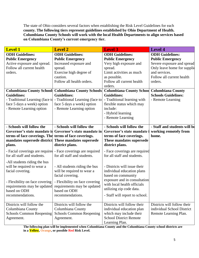The state of Ohio considers several factors when establishing the Risk Level Guidelines for each **county. The following tiers represent guidelines established by Ohio Department of Health. Columbiana County Schools will work with the local Health Departments to align services based on Columbiana County's current emergency tier.** 

| <b>Level 1</b>                                                                                                                                                                                                     | <b>Level 2</b>                                                                                                                                                                                                      | <b>Level 3</b>                                                                                                                                                                                                                               | <b>Level 4</b>                                                                                                                                                          |
|--------------------------------------------------------------------------------------------------------------------------------------------------------------------------------------------------------------------|---------------------------------------------------------------------------------------------------------------------------------------------------------------------------------------------------------------------|----------------------------------------------------------------------------------------------------------------------------------------------------------------------------------------------------------------------------------------------|-------------------------------------------------------------------------------------------------------------------------------------------------------------------------|
| <b>ODH</b> Guidelines:<br><b>Public Emergency</b><br>Active exposure and spread.<br>Follow all current health<br>orders.                                                                                           | <b>ODH</b> Guidelines:<br><b>Public Emergency</b><br>Increased exposure and<br>spread.<br>Exercise high degree of<br>caution.<br>Follow all health orders.                                                          | <b>ODH</b> Guidelines:<br><b>Public Emergency</b><br>Very high exposure and<br>spread.<br>Limit activities as much<br>as possible.<br>Follow all current health<br>orders.                                                                   | <b>ODH</b> Guidelines:<br><b>Public Emergency</b><br>Severe exposure and spread<br>Only leave home for supplie<br>and services.<br>Follow all current health<br>orders. |
| <b>Guidelines:</b><br>- Traditional Learning (face to<br>face 5 days a week) option<br>- Remote Learning option                                                                                                    | Columbiana County School Columbiana County Schools<br><b>Guidelines:</b><br>- Traditional Learning (face to<br>face 5 days a week) option<br>- Remote Learning option                                               | Columbiana County Schoo Columbiana County<br><b>Guidelines:</b><br>- Traditional learning with<br>flexible status which may<br>include:<br>- Hybrid learning<br>- Remote Learning                                                            | <b>Schools Guidelines:</b><br>- Remote Learning                                                                                                                         |
| - Schools will follow the<br>Governor's state mandate in<br>terms of face coverings. The terms of face coverings.<br>mandates supersede district<br>plans.<br>- Facial coverings are required                      | - Schools will follow the<br>Governor's state mandate in<br>These mandates supersede<br>district plans.<br>- Face coverings are required                                                                            | - Schools will follow the<br>Governor's state mandate<br>terms of face coverings.<br>These mandates supersede<br>district plans.<br>- Face coverings are required                                                                            | - Staff and students will be<br>working remotely from<br>home.                                                                                                          |
| for all staff and students.<br>-All students riding the bus<br>will be required to wear a<br>facial covering.<br>- Flexibility on face covering<br>requirements may be updated<br>based on ODH<br>recommendations. | for all staff and students.<br>- All students riding the bus<br>will be required to wear a<br>facial covering.<br>- Flexibility on face covering<br>requirements may be updated<br>based on ODH<br>recommendations. | for all staff and students.<br>- Districts will issue their<br>individual education plans<br>based on community<br>exposure and in consultation<br>with local health officials<br>utilizing zip code data.<br>- Staff will report to school. |                                                                                                                                                                         |
| Districts will follow the<br>Columbiana County<br>Schools Common Reopening<br>Agreement.                                                                                                                           | Districts will follow the<br>Columbiana County<br><b>Schools Common Reopening</b><br>Agreement.                                                                                                                     | Districts will follow their<br>individual education plan<br>which may include their<br><b>School District Remote</b><br>Learning Plan.                                                                                                       | Districts will follow their<br>individual School District<br>Remote Learning Plan.                                                                                      |

**The following plan will be implemented when Columbiana County and the Columbiana County school districts are in a Yellow, Orange, or possible Red Risk Level.**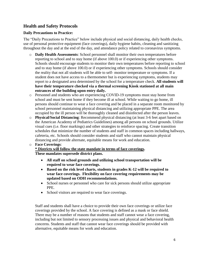## **Health and Safety Protocols**

#### **Daily Precautions to Practice:**

The "Daily Precautions to Practice" below include physical and social distancing, daily health checks, use of personal protective equipment (face coverings), daily hygiene habits, cleaning and sanitizing throughout the day and at the end of the day, and attendance policy related to coronavirus symptoms.

- o **Daily Health Assessments**: School personnel shall monitor their own temperatures before reporting to school and to stay home (if above 100.0) or if experiencing other symptoms. Schools should encourage students to monitor their own temperatures before reporting to school and to stay home (if above 100.0) or if experiencing other symptoms. Schools should consider the reality that not all students will be able to self- monitor temperature or symptoms. If a student does not have access to a thermometer but is experiencing symptoms, students may report to a designated area determined by the school for a temperature check. **All students will have their temperature checked via a thermal screening Kiosk stationed at all main entrances of the building upon entry daily.**
- o Personnel and students who are experiencing COVID-19 symptoms must stay home from school and must be sent home if they become ill at school. While waiting to go home, ill persons should continue to wear a face covering and be placed in a separate room monitored by school personnel maintaining physical distancing and utilizing appropriate PPE. The area occupied by the ill person will be thoroughly cleaned and disinfected after the person leaves.
- o **Physical/Social Distancing**: Recommend physical distancing (at least 3-6 feet apart based on the American Academy of Pediatrics Guidelines) among all persons on school grounds. Utilize visual cues (i.e. floor markings) and other strategies to reinforce spacing. Create transition schedules that minimize the number of students and staff in common spaces including hallways, cafeteria, etc. Schools should consider students and staff who cannot maintain physical distancing and provide alternate, equitable means for work and education.
- o **Face Coverings**: **\* Districts will follow the state mandate in terms of face coverings. These mandates supersede district plans.** 
	- **All staff on school grounds and utilizing school transportation will be required to wear face coverings.**
	- **Based on the risk level charts, students in grades K-12 will be required to wear face coverings. Flexibility on face covering requirements may be updated based on ODH recommendations.**
	- School nurses or personnel who care for sick persons should utilize appropriate PPE.
	- School visitors are required to wear face coverings.

Staff and students shall have a choice to provide their own face coverings or utilize face coverings provided by the school. A face covering is defined as a mask or face shield. There may be a number of reasons that students and staff cannot wear a face covering, including but not limited to sensory processing issues and physical and behavioral health concerns. Students and staff that cannot wear face coverings should be provided with alternative, equitable means for work and education.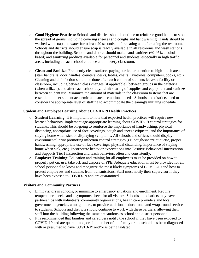- o **Good Hygiene Practices**: Schools and districts should continue to reinforce good habits to stop the spread of germs, including covering sneezes and coughs and handwashing. Hands should be washed with soap and water for at least 20 seconds, before eating and after using the restroom. Schools and districts should ensure soap is readily available in all restrooms and wash stations throughout the building. Schools and district should make hand sanitizer (60-95% alcohol based) and sanitizing products available for personnel and students, especially in high traffic areas, including at each school entrance and in every classroom.
- o **Clean and Sanitize**: Frequently clean surfaces paying particular attention to high-touch areas (stair handrails, door handles, counters, desks, tables, chairs, lavatories, computers, books, etc.). Cleaning and disinfection should be done after each cohort of students leaves a facility or classroom, including between class changes (if applicable), between groups in the cafeteria (when utilized), and after each school day. Limit sharing of supplies and equipment and sanitize between student use. Minimize the amount of materials in the classroom to items that are essential to meet student academic and social-emotional needs. Schools and districts need to consider the appropriate level of staffing to accommodate the cleaning/sanitizing schedule.

#### **Student and Employee Learning About COVID-19 Health Practices**

- o **Student Learning**: It is important to note that expected health practices will require new learned behaviors. Implement age-appropriate learning about COVID-19 control strategies for students. This should be on-going to reinforce the importance of handwashing, physical distancing, appropriate use of face coverings, cough and sneeze etiquette, and the importance of staying home when sick or displaying symptoms. All schools and offices should display environmental print promoting infection control strategies (i.e. cough/sneeze etiquette, proper handwashing, appropriate use of face coverings, physical distancing, importance of staying home when sick, etc.). Incorporate behavior expectations into Positive Behavioral Intervention and Supports Tier I instruction and teach behaviors often and consistently.
- o **Employee Training**: Education and training for all employees must be provided on how to properly put on, use, take off, and dispose of PPE. Adequate education must be provided for all school personnel to know and recognize the most likely symptoms of COVID-19 and how to protect employees and students from transmissions. Staff must notify their supervisor if they have been exposed to COVID-19 and are quarantined.

#### **Visitors and Community Partners**

- o Limit visitors in schools, or minimize to emergency situations and enrollment. Require temperature checks and a symptoms check for all visitors. Schools and districts may have partnerships with volunteers, community organizations, health care providers and local government agencies, among others, to provide additional educational and wraparound services to students. Schools and districts should continue to work with these partners, allowing their staff into the building following the same precautions as school and district personnel.
- $\circ$  It is recommended that families and caregivers notify the school if they have been exposed to COVID-19 and are quarantined, or if a member of the family or household has been diagnosed with or presumed to have COVID-19 and/or is being isolated.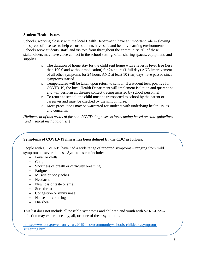#### **Student Health Issues**

Schools, working closely with the local Health Department, have an important role in slowing the spread of diseases to help ensure students have safe and healthy learning environments. Schools serve students, staff, and visitors from throughout the community. All of these stakeholders may have close contact in the school setting, often sharing spaces, equipment, and supplies.

- o The duration of home stay for the child sent home with a fever is fever free (less than 100.0 and without medication) for 24 hours (1 full day) AND improvement of all other symptoms for 24 hours AND at least 10 (ten) days have passed since symptoms started.
- o Temperatures will be taken upon return to school. If a student tests positive for COVID-19, the local Health Department will implement isolation and quarantine and will perform all disease contact tracing assisted by school personnel.
- o To return to school, the child must be transported to school by the parent or caregiver and must be checked by the school nurse.
- o More precautions may be warranted for students with underlying health issues and concerns.

*(Refinement of this protocol for non-COVID diagnoses is forthcoming based on state guidelines and medical methodologies.)*

#### **Symptoms of COVID-19 illness has been defined by the CDC as follows:**

People with COVID-19 have had a wide range of reported symptoms – ranging from mild symptoms to severe illness. Symptoms can include:

- Fever or chills
- Cough
- Shortness of breath or difficulty breathing
- Fatigue
- Muscle or body aches
- Headache
- New loss of taste or smell
- Sore throat
- Congestion or runny nose
- Nausea or vomiting
- Diarrhea

This list does not include all possible symptoms and children and youth with SARS-CoV-2 infection may experience any, all, or none of these symptoms.

[https://www.cdc.gov/coronavirus/2019-ncov/community/schools-childcare/symptom](https://www.cdc.gov/coronavirus/2019-ncov/community/schools-childcare/symptom-screening.html)[screening.html](https://www.cdc.gov/coronavirus/2019-ncov/community/schools-childcare/symptom-screening.html)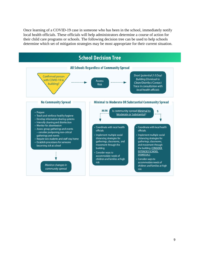Once learning of a COVID-19 case in someone who has been in the school, immediately notify local health officials. These officials will help administrators determine a course of action for their child care programs or schools. The following decision tree can be used to help schools determine which set of mitigation strategies may be most appropriate for their current situation.

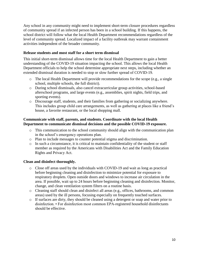Any school in any community might need to implement short-term closure procedures regardless of community spread if an infected person has been in a school building. If this happens, the school district will follow what the local Health Department recommendations regardless of the level of community spread. Localized impact of a facility outbreak may warrant containment activities independent of the broader community.

#### **Release students and most staff for a short term dismissal**

This initial short-term dismissal allows time for the local Health Department to gain a better understanding of the COVID-19 situation impacting the school. This allows the local Health Department officials to help the school determine appropriate next steps, including whether an extended dismissal duration is needed to stop or slow further spread of COVID-19.

- o The local Health Department will provide recommendations for the scope (e.g., a single school, multiple schools, the full district).
- o During school dismissals, also cancel extracurricular group activities, school-based afterschool programs, and large events (e.g., assemblies, spirit nights, field trips, and sporting events).
- o Discourage staff, students, and their families from gathering or socializing anywhere. This includes group child care arrangements, as well as gathering at places like a friend's house, a favorite restaurant, or the local shopping mall.

#### **Communicate with staff, parents, and students. Coordinate with the local Health Department to communicate dismissal decisions and the possible COVID-19 exposure.**

- o This communication to the school community should align with the communication plan in the school's emergency operations plan.
- o Plan to include messages to counter potential stigma and discrimination.
- o In such a circumstance, it is critical to maintain confidentiality of the student or staff member as required by the Americans with Disabilities Act and the Family Education Rights and Privacy Act.

#### **Clean and disinfect thoroughly.**

- o Close off areas used by the individuals with COVID-19 and wait as long as practical before beginning cleaning and disinfection to minimize potential for exposure to respiratory droplets. Open outside doors and windows to increase air circulation in the area. If possible, wait up to 24 hours before beginning cleaning and disinfection. Monitor, change, and clean ventilation system filters on a routine basis.
- o Cleaning staff should clean and disinfect all areas (e.g., offices, bathrooms, and common areas) used by the ill persons, focusing especially on frequently touched surfaces.
- o If surfaces are dirty, they should be cleaned using a detergent or soap and water prior to disinfection. • For disinfection most common EPA-registered household disinfectants should be effective.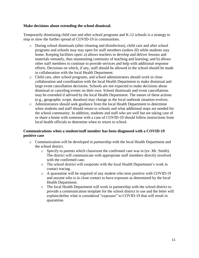#### **Make decisions about extending the school dismissal.**

Temporarily dismissing child care and after school programs and K-12 schools is a strategy to stop or slow the further spread of COVID-19 in communities.

- o During school dismissals (after cleaning and disinfection), child care and after school programs and schools may stay open for staff members (unless ill) while students stay home. Keeping facilities open: a) allows teachers to develop and deliver lessons and materials remotely, thus maintaining continuity of teaching and learning; and b) allows other staff members to continue to provide services and help with additional response efforts. Decisions on which, if any, staff should be allowed in the school should be made in collaboration with the local Health Department.
- o Child care, after school programs, and school administrators should work in close collaboration and coordination with the local Health Department to make dismissal and large event cancellation decisions. Schools are not expected to make decisions about dismissal or canceling events on their own. School dismissals and event cancellations may be extended if advised by the local Health Department. The nature of these actions (e.g., geographic scope, duration) may change as the local outbreak situation evolves.
- o Administrators should seek guidance from the local Health Department to determine when students and staff should return to schools and what additional steps are needed for the school community. In addition, students and staff who are well but are taking care of or share a home with someone with a case of COVID-19 should follow instructions from local health officials to determine when to return to school.

#### **Communications when a student/staff member has been diagnosed with a COVID-19 positive case**

- o Communication will be developed in partnership with the local Health Department and the school district.
	- o Specify to parents which classroom the confirmed case was in (ex. Mr. Smith). The district will communicate with appropriate staff members directly involved with the confirmed case.
	- o The school district will cooperate with the local Health Department's work in contact tracing.
	- $\circ$  A quarantine will be required of any student who tests positive with COVID-19 and anyone who is in close contact to have exposure as determined by the local Health Department.
	- o The local Health Department will work in partnership with the school district to provide a communication template for the school district to use and the letter will explain/define what is considered "exposure" to COVID-19 that will result in quarantine.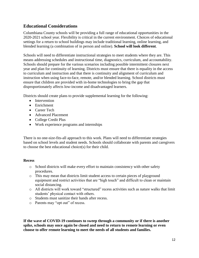## **Educational Considerations**

Columbiana County schools will be providing a full range of educational opportunities in the 2020-2021 school year. Flexibility is critical in the current environment. Choices of educational settings for a return to school buildings may include traditional learning, online learning, and blended learning (a combination of in person and online). **School will look different**.

Schools will need to differentiate instructional strategies to meet students where they are. This means addressing schedules and instructional time, diagnostics, curriculum, and accountability. Schools should prepare for the various scenarios including possible intermittent closures next year and plan for continuity of learning. Districts must ensure that there is equality in the access to curriculum and instruction and that there is continuity and alignment of curriculum and instruction when using face-to-face, remote, and/or blended learning. School districts must ensure that children are provided with in-home technologies to bring the gap that disproportionately affects low-income and disadvantaged learners.

Districts should create plans to provide supplemental learning for the following:

- Intervention
- **•** Enrichment
- Career Tech
- Advanced Placement
- College Credit Plus
- Work experience programs and internships

There is no one-size-fits-all approach to this work. Plans will need to differentiate strategies based on school levels and student needs. Schools should collaborate with parents and caregivers to choose the best educational choice(s) for their child.

#### **Recess**

- o School districts will make every effort to maintain consistency with other safety procedures.
- o This may mean that districts limit student access to certain pieces of playground equipment and restrict activities that are "high touch" and difficult to clean or maintain social distancing.
- o All districts will work toward "structured" recess activities such as nature walks that limit students' physical contact with others.
- o Students must sanitize their hands after recess.
- o Parents may "opt out" of recess.

**If the wave of COVID-19 continues to sweep through a community or if there is another spike, schools may once again be closed and need to return to remote learning or even choose to offer remote learning to meet the needs of all students and families.**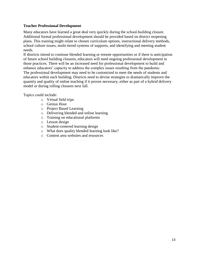#### **Teacher Professional Development**

Many educators have learned a great deal very quickly during the school-building closure. Additional formal professional development should be provided based on district reopening plans. This training might relate to chosen curriculum options, instructional delivery methods, school culture issues, multi-tiered systems of supports, and identifying and meeting student needs.

If districts intend to continue blended learning or remote opportunities or if there is anticipation of future school building closures, educators will need ongoing professional development in those practices. There will be an increased need for professional development to build and enhance educators' capacity to address the complex issues resulting from the pandemic. The professional development may need to be customized to meet the needs of students and educators within each building. Districts need to devise strategies to dramatically improve the quantity and quality of online teaching if it proves necessary, either as part of a hybrid delivery model or during rolling closures next fall.

Topics could include:

- o Virtual field trips
- o Genius Hour
- o Project Based Learning
- o Delivering blended and online learning
- o Training on educational platforms
- o Lesson design
- o Student-centered learning design
- o What does quality blended learning look like?
- o Content area websites and resources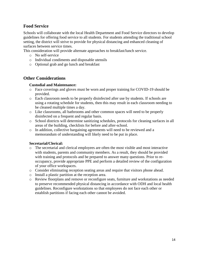#### **Food Service**

Schools will collaborate with the local Health Department and Food Service directors to develop guidelines for offering food service to all students. For students attending the traditional school setting, the district will strive to provide for physical distancing and enhanced cleaning of surfaces between service times.

This consideration will provide alternate approaches to breakfast/lunch service.

- o No self-service
- o Individual condiments and disposable utensils
- o Optional grab and go lunch and breakfast

#### **Other Considerations**

#### **Custodial and Maintenance:**

- o Face coverings and gloves must be worn and proper training for COVID-19 should be provided.
- o Each classroom needs to be properly disinfected after use by students. If schools are using a rotating schedule for students, then this may result in each classroom needing to be cleaned multiple times a day.
- o Like classrooms, all bathrooms and other common spaces will need to be properly disinfected on a frequent and regular basis.
- o School districts will determine sanitizing schedules, protocols for cleaning surfaces in all areas of the building, checklists for before and after-school.
- o In addition, collective bargaining agreements will need to be reviewed and a memorandum of understanding will likely need to be put in place.

#### **Secretarial/Clerical:**

- o The secretarial and clerical employees are often the most visible and most interactive with students, parents and community members. As a result, they should be provided with training and protocols and be prepared to answer many questions. Prior to reoccupancy, provide appropriate PPE and perform a detailed review of the configuration of your office workspaces.
- o Consider eliminating reception seating areas and require that visitors phone ahead.
- o Install a plastic partition at the reception area.
- o Review floorplans and remove or reconfigure seats, furniture and workstations as needed to preserve recommended physical distancing in accordance with ODH and local health guidelines. Reconfigure workstations so that employees do not face each other or establish partitions if facing each other cannot be avoided.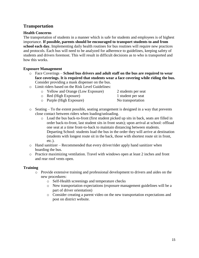### **Transportation**

#### **Health Concerns**

The transportation of students in a manner which is safe for students and employees is of highest importance. **If possible, parents should be encouraged to transport students to and from school each day.** Implementing daily health routines for bus routines will require new practices and protocols. Each bus will need to be analyzed for adherence to guidelines, keeping safety of students and drivers foremost. This will result in difficult decisions as to who is transported and how this works.

#### **Exposure Management**

- o Face Coverings **School bus drivers and adult staff on the bus are required to wear face coverings. It is required that students wear a face covering while riding the bus.** Consider providing a mask dispenser on the bus.
- o Limit riders based on the Risk Level Guidelines:
	- o Yellow and Orange (Low Exposure) 2 students per seat
	- o Red (High Exposure) 1 student per seat
	- o Purple (High Exposure) No transportation
- o Seating To the extent possible, seating arrangement is designed in a way that prevents close contact between riders when loading/unloading.
	- o Load the bus back-to-front (first student picked up sits in back, seats are filled in order back-to-front, last student sits in front seats); upon arrival at school: offload one seat at a time front-to-back to maintain distancing between students. Departing School: students load the bus in the order they will arrive at destination (students with longest route sit in the back, those with shortest route sit in front, etc.).
- $\circ$  Hand sanitizer Recommended that every driver/rider apply hand sanitizer when boarding the bus.
- o Practice maximizing ventilation. Travel with windows open at least 2 inches and front and rear roof vents open.

#### **Training**

- o Provide extensive training and professional development to drivers and aides on the new procedures:
	- o Self-Health screenings and temperature checks
	- o New transportation expectations (exposure management guidelines will be a part of driver orientation)
	- o Consider creating a parent video on the new transportation expectations and post on district website.